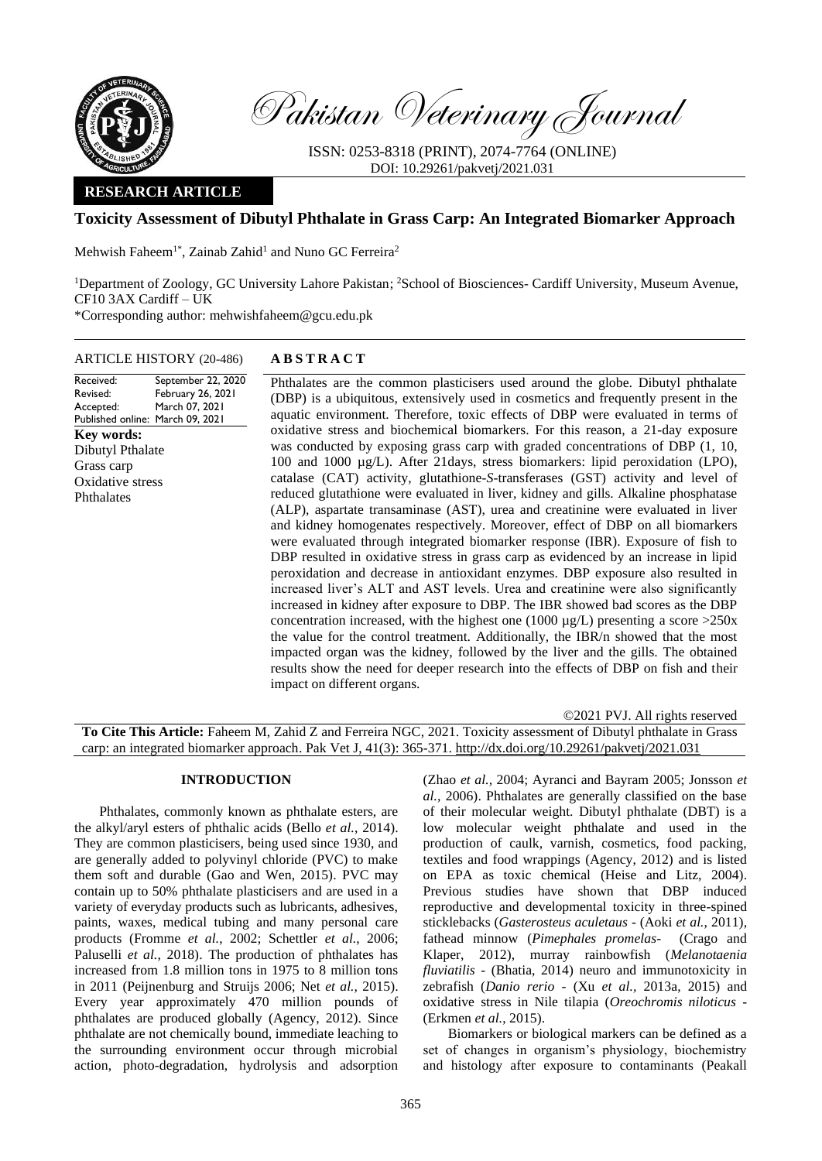

Pakistan Veterinary Journal

ISSN: 0253-8318 (PRINT), 2074-7764 (ONLINE) DOI: 10.29261/pakvetj/2021.031

# **RESEARCH ARTICLE**

# **Toxicity Assessment of Dibutyl Phthalate in Grass Carp: An Integrated Biomarker Approach**

Mehwish Faheem<sup>1\*</sup>, Zainab Zahid<sup>1</sup> and Nuno GC Ferreira<sup>2</sup>

<sup>1</sup>Department of Zoology, GC University Lahore Pakistan; <sup>2</sup>School of Biosciences- Cardiff University, Museum Avenue, CF10 3AX Cardiff – UK

\*Corresponding author: mehwishfaheem@gcu.edu.pk

# ARTICLE HISTORY (20-486) **A B S T R A C T**

Received: Revised: Accepted: Published online: March 09, 2021 September 22, 2020 February 26, 2021 March 07, 2021 **Key words:**  Dibutyl Pthalate Grass carp Oxidative stress **Phthalates** 

Phthalates are the common plasticisers used around the globe. Dibutyl phthalate (DBP) is a ubiquitous, extensively used in cosmetics and frequently present in the aquatic environment. Therefore, toxic effects of DBP were evaluated in terms of oxidative stress and biochemical biomarkers. For this reason, a 21-day exposure was conducted by exposing grass carp with graded concentrations of DBP (1, 10, 100 and 1000 µg/L). After 21days, stress biomarkers: lipid peroxidation (LPO), catalase (CAT) activity, glutathione-*S*-transferases (GST) activity and level of reduced glutathione were evaluated in liver, kidney and gills. Alkaline phosphatase (ALP), aspartate transaminase (AST), urea and creatinine were evaluated in liver and kidney homogenates respectively. Moreover, effect of DBP on all biomarkers were evaluated through integrated biomarker response (IBR). Exposure of fish to DBP resulted in oxidative stress in grass carp as evidenced by an increase in lipid peroxidation and decrease in antioxidant enzymes. DBP exposure also resulted in increased liver's ALT and AST levels. Urea and creatinine were also significantly increased in kidney after exposure to DBP. The IBR showed bad scores as the DBP concentration increased, with the highest one (1000  $\mu$ g/L) presenting a score >250x the value for the control treatment. Additionally, the IBR/n showed that the most impacted organ was the kidney, followed by the liver and the gills. The obtained results show the need for deeper research into the effects of DBP on fish and their impact on different organs.

©2021 PVJ. All rights reserved **To Cite This Article:** Faheem M, Zahid Z and Ferreira NGC, 2021. Toxicity assessment of Dibutyl phthalate in Grass carp: an integrated biomarker approach. Pak Vet J, 41(3): 365-371. [http://dx.doi.org/10.29261/pakvetj/2021.031](http://pvj.com.pk/in_press/20-486.pdf)

### **INTRODUCTION**

Phthalates, commonly known as phthalate esters, are the alkyl/aryl esters of phthalic acids (Bello *et al.*, 2014). They are common plasticisers, being used since 1930, and are generally added to polyvinyl chloride (PVC) to make them soft and durable (Gao and Wen, 2015). PVC may contain up to 50% phthalate plasticisers and are used in a variety of everyday products such as lubricants, adhesives, paints, waxes, medical tubing and many personal care products (Fromme *et al.*, 2002; Schettler *et al.*, 2006; Paluselli *et al.*, 2018). The production of phthalates has increased from 1.8 million tons in 1975 to 8 million tons in 2011 (Peijnenburg and Struijs 2006; Net *et al.,* 2015). Every year approximately 470 million pounds of phthalates are produced globally (Agency, 2012). Since phthalate are not chemically bound, immediate leaching to the surrounding environment occur through microbial action, photo-degradation, hydrolysis and adsorption

(Zhao *et al.,* 2004; Ayranci and Bayram 2005; Jonsson *et al.,* 2006). Phthalates are generally classified on the base of their molecular weight. Dibutyl phthalate (DBT) is a low molecular weight phthalate and used in the production of caulk, varnish, cosmetics, food packing, textiles and food wrappings (Agency, 2012) and is listed on EPA as toxic chemical (Heise and Litz, 2004). Previous studies have shown that DBP induced reproductive and developmental toxicity in three-spined sticklebacks (*Gasterosteus aculetaus* - (Aoki *et al.*, 2011), fathead minnow (*Pimephales promelas*- (Crago and Klaper, 2012), murray rainbowfish (*Melanotaenia fluviatilis* - (Bhatia, 2014) neuro and immunotoxicity in zebrafish (*Danio rerio* - (Xu *et al.,* 2013a, 2015) and oxidative stress in Nile tilapia (*Oreochromis niloticus* - (Erkmen *et al.*, 2015).

Biomarkers or biological markers can be defined as a set of changes in organism's physiology, biochemistry and histology after exposure to contaminants (Peakall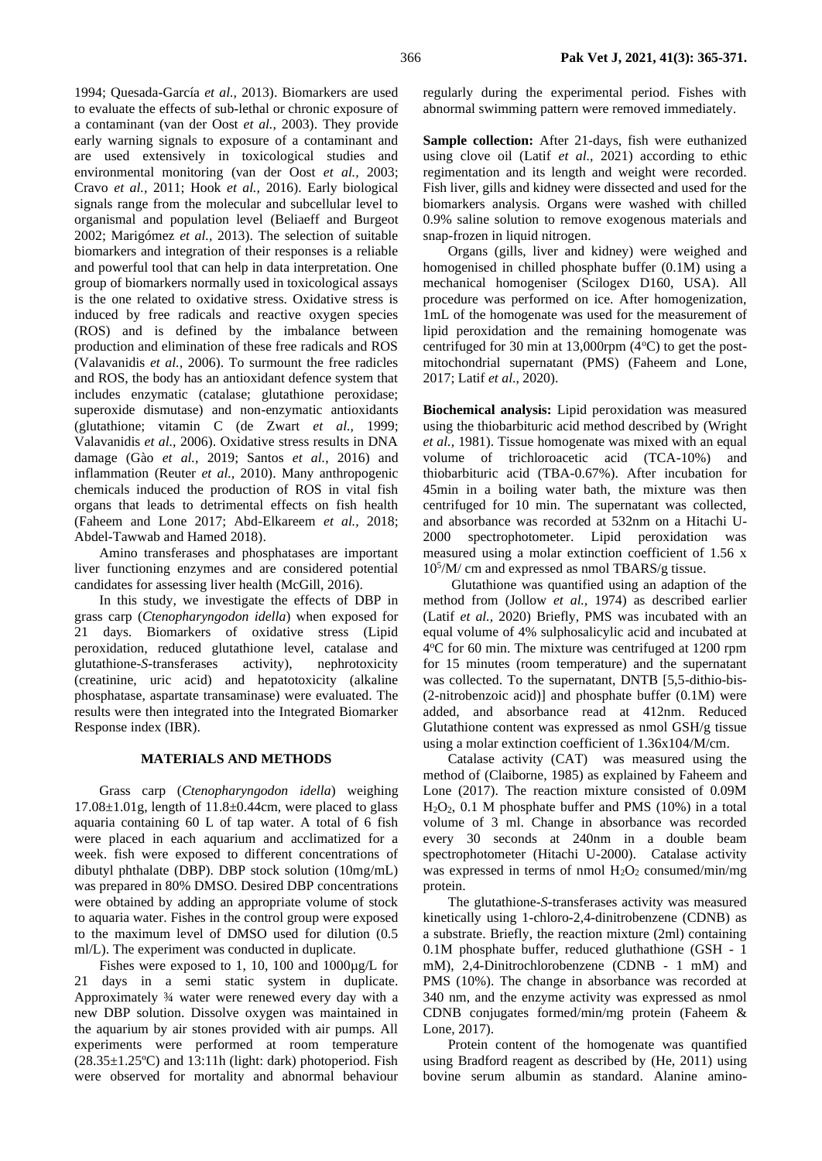1994; Quesada-García *et al.,* 2013). Biomarkers are used to evaluate the effects of sub-lethal or chronic exposure of a contaminant (van der Oost *et al.,* 2003). They provide early warning signals to exposure of a contaminant and are used extensively in toxicological studies and environmental monitoring (van der Oost *et al.,* 2003; Cravo *et al.,* 2011; Hook *et al.,* 2016). Early biological signals range from the molecular and subcellular level to organismal and population level (Beliaeff and Burgeot 2002; Marigómez *et al.,* 2013). The selection of suitable biomarkers and integration of their responses is a reliable and powerful tool that can help in data interpretation. One group of biomarkers normally used in toxicological assays is the one related to oxidative stress. Oxidative stress is induced by free radicals and reactive oxygen species (ROS) and is defined by the imbalance between production and elimination of these free radicals and ROS (Valavanidis *et al.,* 2006). To surmount the free radicles and ROS, the body has an antioxidant defence system that includes enzymatic (catalase; glutathione peroxidase; superoxide dismutase) and non-enzymatic antioxidants (glutathione; vitamin C (de Zwart *et al.,* 1999; Valavanidis *et al.,* 2006). Oxidative stress results in DNA damage (Gào *et al.*, 2019; Santos *et al.*, 2016) and inflammation (Reuter *et al.,* 2010). Many anthropogenic chemicals induced the production of ROS in vital fish organs that leads to detrimental effects on fish health (Faheem and Lone 2017; Abd-Elkareem *et al.,* 2018; Abdel-Tawwab and Hamed 2018).

Amino transferases and phosphatases are important liver functioning enzymes and are considered potential candidates for assessing liver health (McGill, 2016).

In this study, we investigate the effects of DBP in grass carp (*Ctenopharyngodon idella*) when exposed for 21 days. Biomarkers of oxidative stress (Lipid peroxidation, reduced glutathione level, catalase and glutathione-*S*-transferases activity), nephrotoxicity (creatinine, uric acid) and hepatotoxicity (alkaline phosphatase, aspartate transaminase) were evaluated. The results were then integrated into the Integrated Biomarker Response index (IBR).

### **MATERIALS AND METHODS**

Grass carp (*Ctenopharyngodon idella*) weighing  $17.08 \pm 1.01$ g, length of  $11.8 \pm 0.44$ cm, were placed to glass aquaria containing 60 L of tap water. A total of 6 fish were placed in each aquarium and acclimatized for a week. fish were exposed to different concentrations of dibutyl phthalate (DBP). DBP stock solution (10mg/mL) was prepared in 80% DMSO. Desired DBP concentrations were obtained by adding an appropriate volume of stock to aquaria water. Fishes in the control group were exposed to the maximum level of DMSO used for dilution (0.5 ml/L). The experiment was conducted in duplicate.

Fishes were exposed to 1, 10, 100 and 1000µg/L for 21 days in a semi static system in duplicate. Approximately ¾ water were renewed every day with a new DBP solution. Dissolve oxygen was maintained in the aquarium by air stones provided with air pumps. All experiments were performed at room temperature  $(28.35\pm1.25^{\circ}\text{C})$  and 13:11h (light: dark) photoperiod. Fish were observed for mortality and abnormal behaviour regularly during the experimental period. Fishes with abnormal swimming pattern were removed immediately.

**Sample collection:** After 21-days, fish were euthanized using clove oil (Latif *et al.,* 2021) according to ethic regimentation and its length and weight were recorded. Fish liver, gills and kidney were dissected and used for the biomarkers analysis. Organs were washed with chilled 0.9% saline solution to remove exogenous materials and snap-frozen in liquid nitrogen.

Organs (gills, liver and kidney) were weighed and homogenised in chilled phosphate buffer (0.1M) using a mechanical homogeniser (Scilogex D160, USA). All procedure was performed on ice. After homogenization, 1mL of the homogenate was used for the measurement of lipid peroxidation and the remaining homogenate was centrifuged for 30 min at 13,000rpm  $(4^{\circ}C)$  to get the postmitochondrial supernatant (PMS) (Faheem and Lone, 2017; Latif *et al*., 2020).

**Biochemical analysis:** Lipid peroxidation was measured using the thiobarbituric acid method described by (Wright *et al.,* 1981). Tissue homogenate was mixed with an equal volume of trichloroacetic acid (TCA-10%) and thiobarbituric acid (TBA-0.67%). After incubation for 45min in a boiling water bath, the mixture was then centrifuged for 10 min. The supernatant was collected, and absorbance was recorded at 532nm on a Hitachi U-2000 spectrophotometer. Lipid peroxidation was measured using a molar extinction coefficient of 1.56 x 10<sup>5</sup> /M/ cm and expressed as nmol TBARS/g tissue.

Glutathione was quantified using an adaption of the method from (Jollow *et al.,* 1974) as described earlier (Latif *et al.,* 2020) Briefly, PMS was incubated with an equal volume of 4% sulphosalicylic acid and incubated at 4°C for 60 min. The mixture was centrifuged at 1200 rpm for 15 minutes (room temperature) and the supernatant was collected. To the supernatant, DNTB [5,5-dithio-bis- (2-nitrobenzoic acid)] and phosphate buffer (0.1M) were added, and absorbance read at 412nm. Reduced Glutathione content was expressed as nmol GSH/g tissue using a molar extinction coefficient of 1.36x104/M/cm.

Catalase activity (CAT) was measured using the method of (Claiborne, 1985) as explained by Faheem and Lone (2017). The reaction mixture consisted of 0.09M H2O2, 0.1 M phosphate buffer and PMS (10%) in a total volume of 3 ml. Change in absorbance was recorded every 30 seconds at 240nm in a double beam spectrophotometer (Hitachi U-2000). Catalase activity was expressed in terms of nmol  $H_2O_2$  consumed/min/mg protein.

The glutathione-*S*-transferases activity was measured kinetically using 1-chloro-2,4-dinitrobenzene (CDNB) as a substrate. Briefly, the reaction mixture (2ml) containing 0.1M phosphate buffer, reduced gluthathione (GSH - 1 mM), 2,4-Dinitrochlorobenzene (CDNB - 1 mM) and PMS (10%). The change in absorbance was recorded at 340 nm, and the enzyme activity was expressed as nmol CDNB conjugates formed/min/mg protein (Faheem & Lone, 2017).

Protein content of the homogenate was quantified using Bradford reagent as described by (He, 2011) using bovine serum albumin as standard. Alanine amino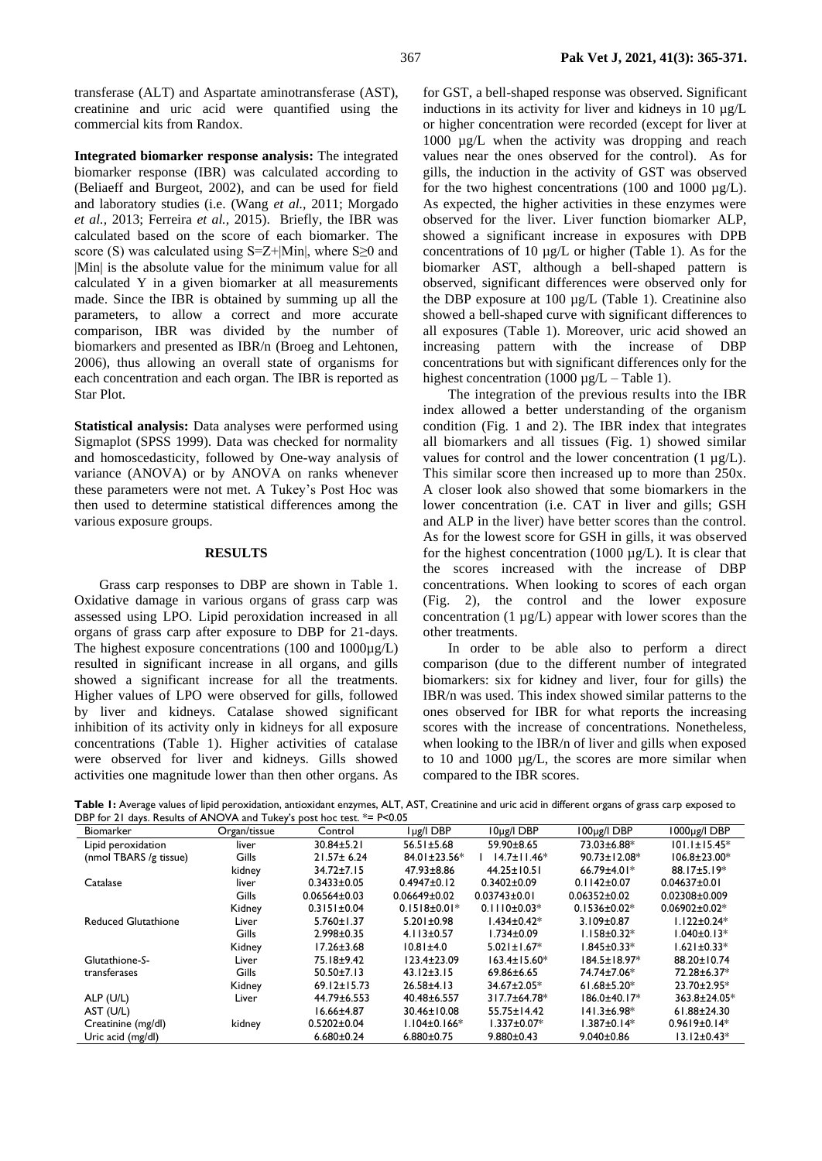transferase (ALT) and Aspartate aminotransferase (AST), creatinine and uric acid were quantified using the commercial kits from Randox.

**Integrated biomarker response analysis:** The integrated biomarker response (IBR) was calculated according to (Beliaeff and Burgeot, 2002), and can be used for field and laboratory studies (i.e. (Wang *et al.,* 2011; Morgado *et al.,* 2013; Ferreira *et al.,* 2015). Briefly, the IBR was calculated based on the score of each biomarker. The score (S) was calculated using S=Z+|Min|, where S≥0 and |Min| is the absolute value for the minimum value for all calculated Y in a given biomarker at all measurements made. Since the IBR is obtained by summing up all the parameters, to allow a correct and more accurate comparison, IBR was divided by the number of biomarkers and presented as IBR/n (Broeg and Lehtonen, 2006), thus allowing an overall state of organisms for each concentration and each organ. The IBR is reported as Star Plot.

**Statistical analysis:** Data analyses were performed using Sigmaplot (SPSS 1999). Data was checked for normality and homoscedasticity, followed by One-way analysis of variance (ANOVA) or by ANOVA on ranks whenever these parameters were not met. A Tukey's Post Hoc was then used to determine statistical differences among the various exposure groups.

## **RESULTS**

Grass carp responses to DBP are shown in Table 1. Oxidative damage in various organs of grass carp was assessed using LPO. Lipid peroxidation increased in all organs of grass carp after exposure to DBP for 21-days. The highest exposure concentrations (100 and  $1000\mu g/L$ ) resulted in significant increase in all organs, and gills showed a significant increase for all the treatments. Higher values of LPO were observed for gills, followed by liver and kidneys. Catalase showed significant inhibition of its activity only in kidneys for all exposure concentrations (Table 1). Higher activities of catalase were observed for liver and kidneys. Gills showed activities one magnitude lower than then other organs. As

for GST, a bell-shaped response was observed. Significant inductions in its activity for liver and kidneys in 10 µg/L or higher concentration were recorded (except for liver at 1000 µg/L when the activity was dropping and reach values near the ones observed for the control). As for gills, the induction in the activity of GST was observed for the two highest concentrations (100 and 1000  $\mu$ g/L). As expected, the higher activities in these enzymes were observed for the liver. Liver function biomarker ALP, showed a significant increase in exposures with DPB concentrations of 10 µg/L or higher (Table 1). As for the biomarker AST, although a bell-shaped pattern is observed, significant differences were observed only for the DBP exposure at 100 µg/L (Table 1). Creatinine also showed a bell-shaped curve with significant differences to all exposures (Table 1). Moreover, uric acid showed an increasing pattern with the increase of DBP concentrations but with significant differences only for the highest concentration (1000  $\mu$ g/L – Table 1).

The integration of the previous results into the IBR index allowed a better understanding of the organism condition (Fig. 1 and 2). The IBR index that integrates all biomarkers and all tissues (Fig. 1) showed similar values for control and the lower concentration  $(1 \mu g/L)$ . This similar score then increased up to more than 250x. A closer look also showed that some biomarkers in the lower concentration (i.e. CAT in liver and gills; GSH and ALP in the liver) have better scores than the control. As for the lowest score for GSH in gills, it was observed for the highest concentration (1000  $\mu$ g/L). It is clear that the scores increased with the increase of DBP concentrations. When looking to scores of each organ (Fig. 2), the control and the lower exposure concentration (1 µg/L) appear with lower scores than the other treatments.

In order to be able also to perform a direct comparison (due to the different number of integrated biomarkers: six for kidney and liver, four for gills) the IBR/n was used. This index showed similar patterns to the ones observed for IBR for what reports the increasing scores with the increase of concentrations. Nonetheless, when looking to the IBR/n of liver and gills when exposed to 10 and 1000 µg/L, the scores are more similar when compared to the IBR scores.

**Table 1:** Average values of lipid peroxidation, antioxidant enzymes, ALT, AST, Creatinine and uric acid in different organs of grass carp exposed to DBP for 21 days. Results of ANOVA and Tukey's post hoc test. \*= P<0.05

| Biomarker                  | Organ/tissue | Control            | lug/lDBP           | $10\mu$ g/I DBP    | 100ug/IDBP          | 1000ug/IDBP         |
|----------------------------|--------------|--------------------|--------------------|--------------------|---------------------|---------------------|
| Lipid peroxidation         | liver        | $30.84 \pm 5.21$   | $56.51 \pm 5.68$   | 59.90±8.65         | 73.03±6.88*         | $101.1 \pm 15.45*$  |
| (nmol TBARS /g tissue)     | Gills        | $21.57 \pm 6.24$   | 84.01±23.56*       | $14.7 \pm 11.46*$  | $90.73 \pm 12.08$ * | $106.8 \pm 23.00*$  |
|                            | kidney       | $34.72 \pm 7.15$   | 47.93±8.86         | $44.25 \pm 10.51$  | 66.79 $\pm$ 4.01*   | $88.17 \pm 5.19*$   |
| Catalase                   | liver        | $0.3433 \pm 0.05$  | $0.4947 \pm 0.12$  | $0.3402 \pm 0.09$  | $0.1142 \pm 0.07$   | $0.04637 \pm 0.01$  |
|                            | Gills        | $0.06564 \pm 0.03$ | $0.06649 \pm 0.02$ | $0.03743 \pm 0.01$ | $0.06352 \pm 0.02$  | $0.02308 \pm 0.009$ |
|                            | Kidney       | $0.3151 \pm 0.04$  | $0.1518 \pm 0.01*$ | $0.1110 \pm 0.03*$ | $0.1536 \pm 0.02*$  | $0.06902 \pm 0.02*$ |
| <b>Reduced Glutathione</b> | Liver        | $5.760 \pm 1.37$   | $5.201 \pm 0.98$   | l.434±0.42*        | $3.109 \pm 0.87$    | $1.122 \pm 0.24*$   |
|                            | Gills        | $2.998 \pm 0.35$   | $4.113 \pm 0.57$   | $1.734 \pm 0.09$   | $1.158 \pm 0.32*$   | $1.040 \pm 0.13*$   |
|                            | Kidney       | $17.26 \pm 3.68$   | $10.81 \pm 4.0$    | $5.021 \pm 1.67$ * | $1.845 \pm 0.33*$   | $1.621 \pm 0.33*$   |
| Glutathione-S-             | Liver        | 75.18±9.42         | $123.4 \pm 23.09$  | $163.4 \pm 15.60*$ | 184.5±18.97*        | 88.20±10.74         |
| transferases               | Gills        | $50.50 \pm 7.13$   | $43.12 \pm 3.15$   | 69.86±6.65         | 74.74±7.06*         | 72.28±6.37*         |
|                            | Kidney       | $69.12 \pm 15.73$  | $26.58 \pm 4.13$   | 34.67±2.05*        | $61.68 \pm 5.20*$   | $23.70 \pm 2.95^*$  |
| ALP (U/L)                  | Liver        | 44.79±6.553        | 40.48±6.557        | 317.7±64.78*       | 186.0±40.17*        | 363.8±24.05*        |
| AST (U/L)                  |              | $16.66 \pm 4.87$   | 30.46±10.08        | 55.75±14.42        | 141.3±6.98*         | 61.88±24.30         |
| Creatinine (mg/dl)         | kidney       | $0.5202 \pm 0.04$  | $1.104 \pm 0.166*$ | $1.337 \pm 0.07*$  | $1.387 \pm 0.14*$   | $0.9619 \pm 0.14*$  |
| Uric acid (mg/dl)          |              | $6.680 \pm 0.24$   | $6.880 \pm 0.75$   | $9.880 \pm 0.43$   | $9.040 \pm 0.86$    | $13.12 \pm 0.43*$   |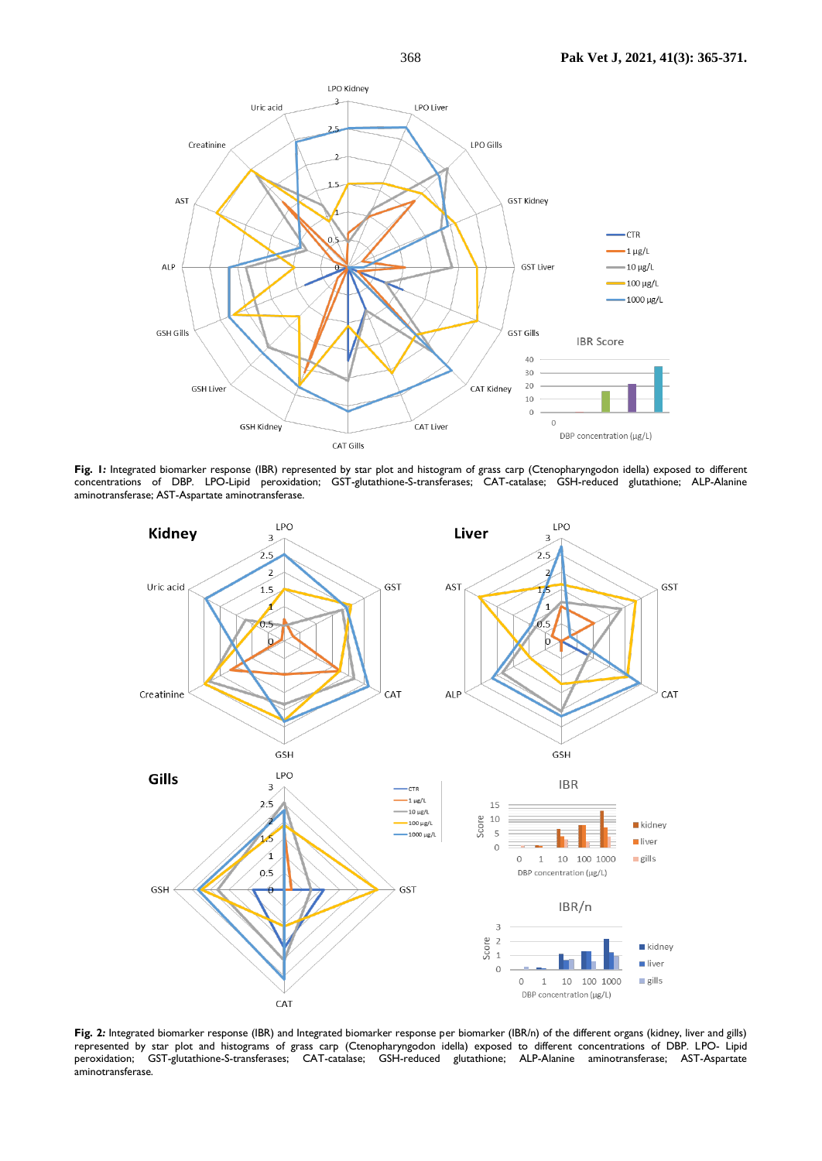

**Fig***.* **1***:* Integrated biomarker response (IBR) represented by star plot and histogram of grass carp (Ctenopharyngodon idella) exposed to different concentrations of DBP. LPO-Lipid peroxidation; GST-glutathione-S-transferases; CAT-catalase; GSH-reduced glutathione; ALP-Alanine aminotransferase; AST-Aspartate aminotransferase.



**Fig***.* **2***:* Integrated biomarker response (IBR) and Integrated biomarker response per biomarker (IBR/n) of the different organs (kidney, liver and gills) represented by star plot and histograms of grass carp (Ctenopharyngodon idella) exposed to different concentrations of DBP. LPO- Lipid peroxidation; GST-glutathione-S-transferases; CAT-catalase; GSH-reduced glutathione; ALP-Alanine aminotransferase; AST-Aspartate aminotransferase.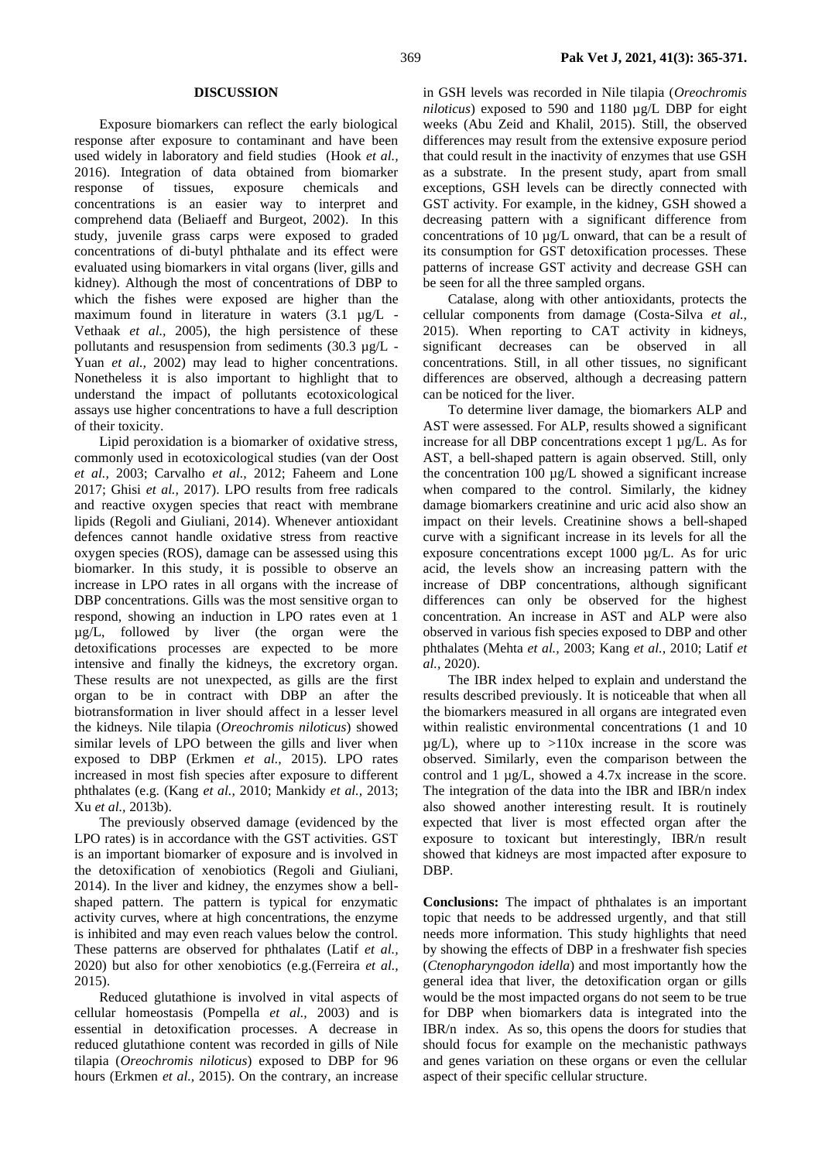#### **DISCUSSION**

Exposure biomarkers can reflect the early biological response after exposure to contaminant and have been used widely in laboratory and field studies (Hook *et al.,* 2016). Integration of data obtained from biomarker response of tissues, exposure chemicals and concentrations is an easier way to interpret and comprehend data (Beliaeff and Burgeot, 2002). In this study, juvenile grass carps were exposed to graded concentrations of di-butyl phthalate and its effect were evaluated using biomarkers in vital organs (liver, gills and kidney). Although the most of concentrations of DBP to which the fishes were exposed are higher than the maximum found in literature in waters  $(3.1 \text{ µg/L} -$ Vethaak *et al.,* 2005), the high persistence of these pollutants and resuspension from sediments (30.3 µg/L - Yuan *et al.*, 2002) may lead to higher concentrations. Nonetheless it is also important to highlight that to understand the impact of pollutants ecotoxicological assays use higher concentrations to have a full description of their toxicity.

Lipid peroxidation is a biomarker of oxidative stress, commonly used in ecotoxicological studies (van der Oost *et al.,* 2003; Carvalho *et al.,* 2012; Faheem and Lone 2017; Ghisi *et al.,* 2017). LPO results from free radicals and reactive oxygen species that react with membrane lipids (Regoli and Giuliani, 2014). Whenever antioxidant defences cannot handle oxidative stress from reactive oxygen species (ROS), damage can be assessed using this biomarker. In this study, it is possible to observe an increase in LPO rates in all organs with the increase of DBP concentrations. Gills was the most sensitive organ to respond, showing an induction in LPO rates even at 1 µg/L, followed by liver (the organ were the detoxifications processes are expected to be more intensive and finally the kidneys, the excretory organ. These results are not unexpected, as gills are the first organ to be in contract with DBP an after the biotransformation in liver should affect in a lesser level the kidneys. Nile tilapia (*Oreochromis niloticus*) showed similar levels of LPO between the gills and liver when exposed to DBP (Erkmen *et al.,* 2015). LPO rates increased in most fish species after exposure to different phthalates (e.g. (Kang *et al.,* 2010; Mankidy *et al.,* 2013; Xu *et al.,* 2013b).

The previously observed damage (evidenced by the LPO rates) is in accordance with the GST activities. GST is an important biomarker of exposure and is involved in the detoxification of xenobiotics (Regoli and Giuliani, 2014). In the liver and kidney, the enzymes show a bellshaped pattern. The pattern is typical for enzymatic activity curves, where at high concentrations, the enzyme is inhibited and may even reach values below the control. These patterns are observed for phthalates (Latif *et al.,* 2020) but also for other xenobiotics (e.g.(Ferreira *et al.,* 2015).

Reduced glutathione is involved in vital aspects of cellular homeostasis (Pompella *et al.,* 2003) and is essential in detoxification processes. A decrease in reduced glutathione content was recorded in gills of Nile tilapia (*Oreochromis niloticus*) exposed to DBP for 96 hours (Erkmen *et al.,* 2015). On the contrary, an increase

in GSH levels was recorded in Nile tilapia (*Oreochromis niloticus*) exposed to 590 and 1180 µg/L DBP for eight weeks (Abu Zeid and Khalil, 2015). Still, the observed differences may result from the extensive exposure period that could result in the inactivity of enzymes that use GSH as a substrate. In the present study, apart from small exceptions, GSH levels can be directly connected with GST activity. For example, in the kidney, GSH showed a decreasing pattern with a significant difference from concentrations of 10 µg/L onward, that can be a result of its consumption for GST detoxification processes. These patterns of increase GST activity and decrease GSH can be seen for all the three sampled organs.

Catalase, along with other antioxidants, protects the cellular components from damage (Costa-Silva *et al.,* 2015). When reporting to CAT activity in kidneys, significant decreases can be observed in all concentrations. Still, in all other tissues, no significant differences are observed, although a decreasing pattern can be noticed for the liver.

To determine liver damage, the biomarkers ALP and AST were assessed. For ALP, results showed a significant increase for all DBP concentrations except 1 µg/L. As for AST, a bell-shaped pattern is again observed. Still, only the concentration 100 µg/L showed a significant increase when compared to the control. Similarly, the kidney damage biomarkers creatinine and uric acid also show an impact on their levels. Creatinine shows a bell-shaped curve with a significant increase in its levels for all the exposure concentrations except 1000 µg/L. As for uric acid, the levels show an increasing pattern with the increase of DBP concentrations, although significant differences can only be observed for the highest concentration. An increase in AST and ALP were also observed in various fish species exposed to DBP and other phthalates (Mehta *et al.,* 2003; Kang *et al.,* 2010; Latif *et al.,* 2020).

The IBR index helped to explain and understand the results described previously. It is noticeable that when all the biomarkers measured in all organs are integrated even within realistic environmental concentrations (1 and 10)  $\mu$ g/L), where up to >110x increase in the score was observed. Similarly, even the comparison between the control and 1 µg/L, showed a 4.7x increase in the score. The integration of the data into the IBR and IBR/n index also showed another interesting result. It is routinely expected that liver is most effected organ after the exposure to toxicant but interestingly, IBR/n result showed that kidneys are most impacted after exposure to DBP.

**Conclusions:** The impact of phthalates is an important topic that needs to be addressed urgently, and that still needs more information. This study highlights that need by showing the effects of DBP in a freshwater fish species (*Ctenopharyngodon idella*) and most importantly how the general idea that liver, the detoxification organ or gills would be the most impacted organs do not seem to be true for DBP when biomarkers data is integrated into the IBR/n index. As so, this opens the doors for studies that should focus for example on the mechanistic pathways and genes variation on these organs or even the cellular aspect of their specific cellular structure.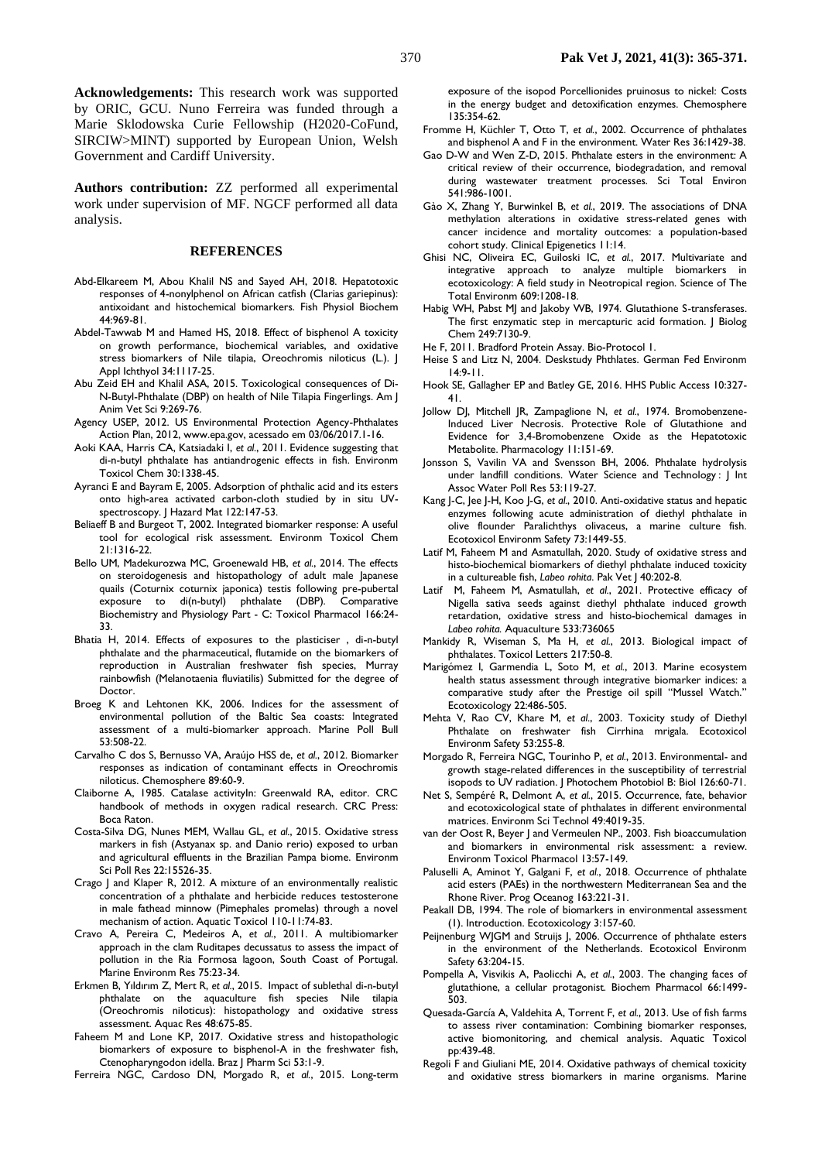**Acknowledgements:** This research work was supported by ORIC, GCU. Nuno Ferreira was funded through a Marie Sklodowska Curie Fellowship (H2020-CoFund, SIRCIW>MINT) supported by European Union, Welsh Government and Cardiff University.

**Authors contribution:** ZZ performed all experimental work under supervision of MF. NGCF performed all data analysis.

### **REFERENCES**

- Abd-Elkareem M, Abou Khalil NS and Sayed AH, 2018. Hepatotoxic responses of 4-nonylphenol on African catfish (Clarias gariepinus): antixoidant and histochemical biomarkers. Fish Physiol Biochem 44:969-81.
- Abdel-Tawwab M and Hamed HS, 2018. Effect of bisphenol A toxicity on growth performance, biochemical variables, and oxidative stress biomarkers of Nile tilapia, Oreochromis niloticus (L.). J Appl Ichthyol 34:1117-25.
- Abu Zeid EH and Khalil ASA, 2015. Toxicological consequences of Di-N-Butyl-Phthalate (DBP) on health of Nile Tilapia Fingerlings. Am J Anim Vet Sci 9:269-76.
- Agency USEP, 2012. US Environmental Protection Agency-Phthalates Action Plan, 2012, www.epa.gov, acessado em 03/06/2017.1-16.
- Aoki KAA, Harris CA, Katsiadaki I, *et al.*, 2011. Evidence suggesting that di-n-butyl phthalate has antiandrogenic effects in fish. Environm Toxicol Chem 30:1338-45.
- Ayranci E and Bayram E, 2005. Adsorption of phthalic acid and its esters onto high-area activated carbon-cloth studied by in situ UVspectroscopy. J Hazard Mat 122:147-53.
- Beliaeff B and Burgeot T, 2002. Integrated biomarker response: A useful tool for ecological risk assessment. Environm Toxicol Chem 21:1316-22.
- Bello UM, Madekurozwa MC, Groenewald HB, *et al.*, 2014. The effects on steroidogenesis and histopathology of adult male Japanese quails (Coturnix coturnix japonica) testis following pre-pubertal exposure to di(n-butyl) phthalate (DBP). Comparative Biochemistry and Physiology Part - C: Toxicol Pharmacol 166:24- 33.
- Bhatia H, 2014. Effects of exposures to the plasticiser , di-n-butyl phthalate and the pharmaceutical, flutamide on the biomarkers of reproduction in Australian freshwater fish species, Murray rainbowfish (Melanotaenia fluviatilis) Submitted for the degree of Doctor.
- Broeg K and Lehtonen KK, 2006. Indices for the assessment of environmental pollution of the Baltic Sea coasts: Integrated assessment of a multi-biomarker approach. Marine Poll Bull 53:508-22.
- Carvalho C dos S, Bernusso VA, Araújo HSS de, *et al.*, 2012. Biomarker responses as indication of contaminant effects in Oreochromis niloticus. Chemosphere 89:60-9.
- Claiborne A, 1985. Catalase activityIn: Greenwald RA, editor. CRC handbook of methods in oxygen radical research. CRC Press: Boca Raton.
- Costa-Silva DG, Nunes MEM, Wallau GL, *et al.*, 2015. Oxidative stress markers in fish (Astyanax sp. and Danio rerio) exposed to urban and agricultural effluents in the Brazilian Pampa biome. Environm Sci Poll Res 22:15526-35.
- Crago J and Klaper R, 2012. A mixture of an environmentally realistic concentration of a phthalate and herbicide reduces testosterone in male fathead minnow (Pimephales promelas) through a novel mechanism of action. Aquatic Toxicol 110-11:74-83.
- Cravo A, Pereira C, Medeiros A, *et al.*, 2011. A multibiomarker approach in the clam Ruditapes decussatus to assess the impact of pollution in the Ria Formosa lagoon, South Coast of Portugal. Marine Environm Res 75:23-34.
- Erkmen B, Yıldırım Z, Mert R, *et al.*, 2015. Impact of sublethal di-n-butyl phthalate on the aquaculture fish species Nile tilapia (Oreochromis niloticus): histopathology and oxidative stress assessment. Aquac Res 48:675-85.
- Faheem M and Lone KP, 2017. Oxidative stress and histopathologic biomarkers of exposure to bisphenol-A in the freshwater fish, Ctenopharyngodon idella. Braz J Pharm Sci 53:1-9.

Ferreira NGC, Cardoso DN, Morgado R, *et al.*, 2015. Long-term

exposure of the isopod Porcellionides pruinosus to nickel: Costs in the energy budget and detoxification enzymes. Chemosphere 135:354-62.

- Fromme H, Küchler T, Otto T, *et al.*, 2002. Occurrence of phthalates and bisphenol A and F in the environment. Water Res 36:1429-38.
- Gao D-W and Wen Z-D, 2015. Phthalate esters in the environment: A critical review of their occurrence, biodegradation, and removal during wastewater treatment processes. Sci Total Environ 541:986-1001.
- Gào X, Zhang Y, Burwinkel B, *et al.*, 2019. The associations of DNA methylation alterations in oxidative stress-related genes with cancer incidence and mortality outcomes: a population-based cohort study. Clinical Epigenetics 11:14.
- Ghisi NC, Oliveira EC, Guiloski IC, *et al.*, 2017. Multivariate and integrative approach to analyze multiple biomarkers ecotoxicology: A field study in Neotropical region. Science of The Total Environm 609:1208-18.
- Habig WH, Pabst MJ and Jakoby WB, 1974. Glutathione S-transferases. The first enzymatic step in mercapturic acid formation. J Biolog Chem 249:7130-9.
- He F, 2011. Bradford Protein Assay. Bio-Protocol 1.
- Heise S and Litz N, 2004. Deskstudy Phthlates. German Fed Environm 14:9-11.
- Hook SE, Gallagher EP and Batley GE, 2016. HHS Public Access 10:327- 41.
- Jollow DJ, Mitchell JR, Zampaglione N, *et al.*, 1974. Bromobenzene-Induced Liver Necrosis. Protective Role of Glutathione and Evidence for 3,4-Bromobenzene Oxide as the Hepatotoxic Metabolite. Pharmacology 11:151-69.
- Jonsson S, Vavilin VA and Svensson BH, 2006. Phthalate hydrolysis under landfill conditions. Water Science and Technology : J Int Assoc Water Poll Res 53:119-27.
- Kang J-C, Jee J-H, Koo J-G, *et al.*, 2010. Anti-oxidative status and hepatic enzymes following acute administration of diethyl phthalate in olive flounder Paralichthys olivaceus, a marine culture fish. Ecotoxicol Environm Safety 73:1449-55.
- Latif M, Faheem M and Asmatullah, 2020. Study of oxidative stress and histo-biochemical biomarkers of diethyl phthalate induced toxicity in a cultureable fish, *Labeo rohita*. Pak Vet J 40:202-8.
- Latif M, Faheem M, Asmatullah, *et al.*, 2021. Protective efficacy of Nigella sativa seeds against diethyl phthalate induced growth retardation, oxidative stress and histo-biochemical damages in *Labeo rohita.* Aquaculture 533:736065
- Mankidy R, Wiseman S, Ma H, *et al.*, 2013. Biological impact of phthalates. Toxicol Letters 217:50-8.
- Marigómez I, Garmendia L, Soto M, *et al.*, 2013. Marine ecosystem health status assessment through integrative biomarker indices: a comparative study after the Prestige oil spill "Mussel Watch." Ecotoxicology 22:486-505.
- Mehta V, Rao CV, Khare M, *et al.*, 2003. Toxicity study of Diethyl Phthalate on freshwater fish Cirrhina mrigala. Ecotoxicol Environm Safety 53:255-8.
- Morgado R, Ferreira NGC, Tourinho P, *et al.*, 2013. Environmental- and growth stage-related differences in the susceptibility of terrestrial isopods to UV radiation. J Photochem Photobiol B: Biol 126:60-71.
- Net S, Sempéré R, Delmont A, *et al.*, 2015. Occurrence, fate, behavior and ecotoxicological state of phthalates in different environmental matrices. Environm Sci Technol 49:4019-35.
- van der Oost R, Beyer J and Vermeulen NP., 2003. Fish bioaccumulation and biomarkers in environmental risk assessment: a review. Environm Toxicol Pharmacol 13:57-149.
- Paluselli A, Aminot Y, Galgani F, *et al.*, 2018. Occurrence of phthalate acid esters (PAEs) in the northwestern Mediterranean Sea and the Rhone River. Prog Oceanog 163:221-31.
- Peakall DB, 1994. The role of biomarkers in environmental assessment (1). Introduction. Ecotoxicology 3:157-60.
- Peijnenburg WJGM and Struijs J, 2006. Occurrence of phthalate esters in the environment of the Netherlands. Ecotoxicol Environm Safety 63:204-15.
- Pompella A, Visvikis A, Paolicchi A, *et al.*, 2003. The changing faces of glutathione, a cellular protagonist. Biochem Pharmacol 66:1499- 503.
- Quesada-García A, Valdehita A, Torrent F, *et al.*, 2013. Use of fish farms to assess river contamination: Combining biomarker responses, active biomonitoring, and chemical analysis. Aquatic Toxicol pp:439-48.
- Regoli F and Giuliani ME, 2014. Oxidative pathways of chemical toxicity and oxidative stress biomarkers in marine organisms. Marine